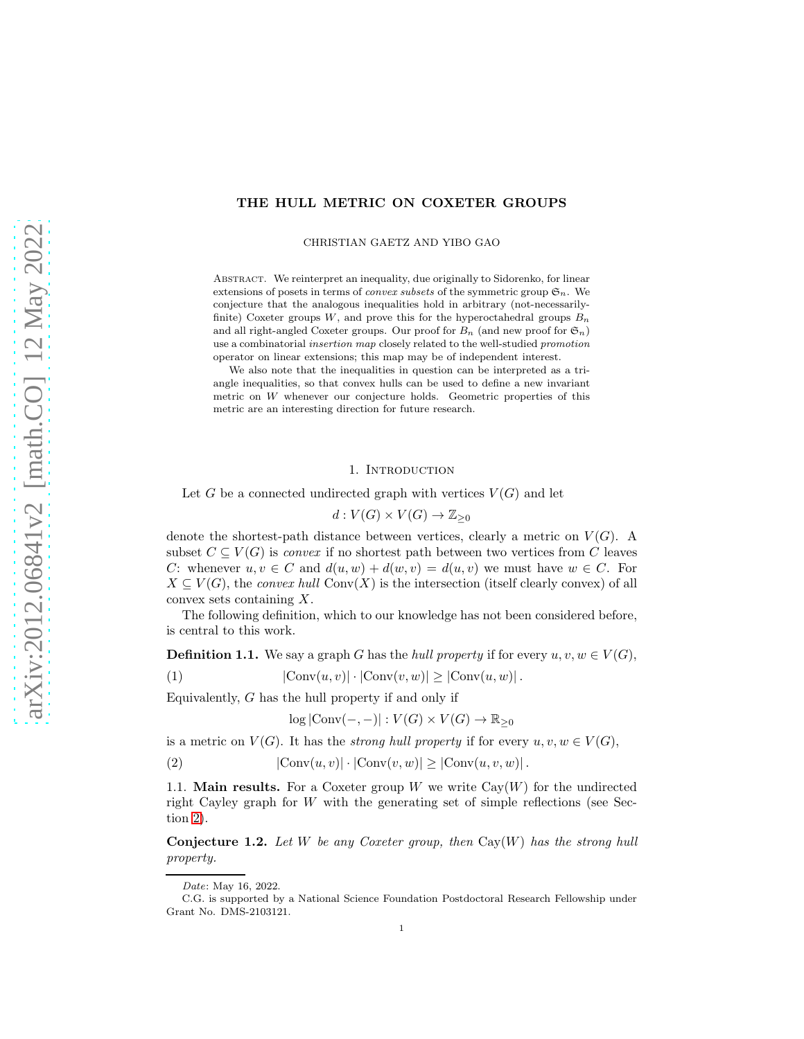## THE HULL METRIC ON COXETER GROUPS

CHRISTIAN GAETZ AND YIBO GAO

Abstract. We reinterpret an inequality, due originally to Sidorenko, for linear extensions of posets in terms of *convex subsets* of the symmetric group  $\mathfrak{S}_n$ . We conjecture that the analogous inequalities hold in arbitrary (not-necessarilyfinite) Coxeter groups  $W$ , and prove this for the hyperoctahedral groups  $B_n$ and all right-angled Coxeter groups. Our proof for  $B_n$  (and new proof for  $\mathfrak{S}_n$ ) use a combinatorial insertion map closely related to the well-studied promotion operator on linear extensions; this map may be of independent interest.

We also note that the inequalities in question can be interpreted as a triangle inequalities, so that convex hulls can be used to define a new invariant metric on  $W$  whenever our conjecture holds. Geometric properties of this metric are an interesting direction for future research.

#### 1. INTRODUCTION

Let G be a connected undirected graph with vertices  $V(G)$  and let

$$
d: V(G) \times V(G) \to \mathbb{Z}_{\geq 0}
$$

denote the shortest-path distance between vertices, clearly a metric on  $V(G)$ . A subset  $C \subseteq V(G)$  is *convex* if no shortest path between two vertices from C leaves C: whenever  $u, v \in C$  and  $d(u, w) + d(w, v) = d(u, v)$  we must have  $w \in C$ . For  $X \subseteq V(G)$ , the *convex hull* Conv $(X)$  is the intersection (itself clearly convex) of all convex sets containing X.

The following definition, which to our knowledge has not been considered before, is central to this work.

**Definition 1.1.** We say a graph G has the *hull property* if for every  $u, v, w \in V(G)$ ,

(1) 
$$
|\text{Conv}(u, v)| \cdot |\text{Conv}(v, w)| \ge |\text{Conv}(u, w)|.
$$

Equivalently,  $G$  has the hull property if and only if

<span id="page-0-2"></span><span id="page-0-1"></span> $\log |\text{Conv}(-,-)| : V(G) \times V(G) \to \mathbb{R}_{\geq 0}$ 

is a metric on  $V(G)$ . It has the *strong hull property* if for every  $u, v, w \in V(G)$ ,

(2) 
$$
|\text{Conv}(u, v)| \cdot |\text{Conv}(v, w)| \ge |\text{Conv}(u, v, w)|.
$$

1.1. **Main results.** For a Coxeter group W we write  $Cay(W)$  for the undirected right Cayley graph for  $W$  with the generating set of simple reflections (see Section [2\)](#page-2-0).

<span id="page-0-0"></span>Conjecture 1.2. *Let* W *be any Coxeter group, then* Cay(W) *has the strong hull property.*

Date: May 16, 2022.

C.G. is supported by a National Science Foundation Postdoctoral Research Fellowship under Grant No. DMS-2103121.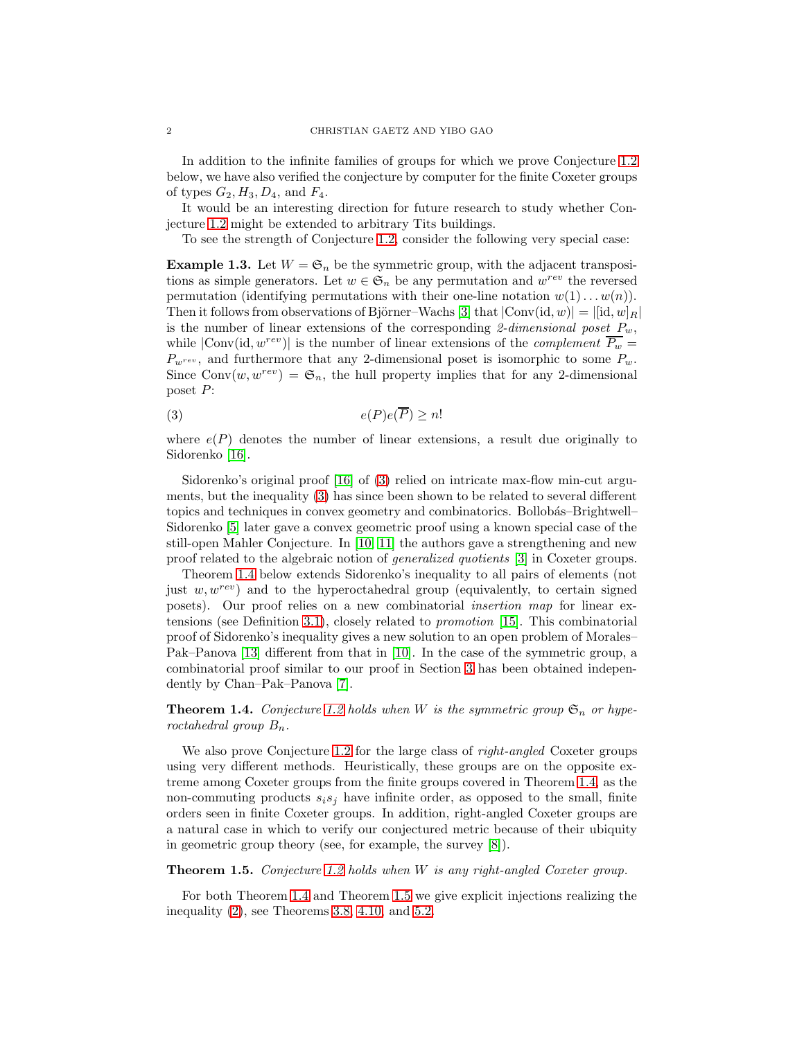In addition to the infinite families of groups for which we prove Conjecture [1.2](#page-0-0) below, we have also verified the conjecture by computer for the finite Coxeter groups of types  $G_2, H_3, D_4$ , and  $F_4$ .

It would be an interesting direction for future research to study whether Conjecture [1.2](#page-0-0) might be extended to arbitrary Tits buildings.

To see the strength of Conjecture [1.2,](#page-0-0) consider the following very special case:

**Example 1.3.** Let  $W = \mathfrak{S}_n$  be the symmetric group, with the adjacent transpositions as simple generators. Let  $w \in \mathfrak{S}_n$  be any permutation and  $w^{rev}$  the reversed permutation (identifying permutations with their one-line notation  $w(1) \dots w(n)$ ). Then it follows from observations of Björner–Wachs [\[3\]](#page-12-0) that  $|Conv(id, w)| = |[id, w]_R|$ is the number of linear extensions of the corresponding  $\ell$ -dimensional poset  $P_w$ , while  $|Conv(id, w^{rev})|$  is the number of linear extensions of the *complement*  $\overline{P_w}$  =  $P_{w^{rev}}$ , and furthermore that any 2-dimensional poset is isomorphic to some  $P_w$ . Since Conv $(w, w^{rev}) = \mathfrak{S}_n$ , the hull property implies that for any 2-dimensional poset P:

<span id="page-1-0"></span>
$$
(3) \t\t\t e(P)e(\overline{P}) \ge n
$$

where  $e(P)$  denotes the number of linear extensions, a result due originally to Sidorenko [\[16\]](#page-12-1).

Sidorenko's original proof [\[16\]](#page-12-1) of [\(3\)](#page-1-0) relied on intricate max-flow min-cut arguments, but the inequality [\(3\)](#page-1-0) has since been shown to be related to several different topics and techniques in convex geometry and combinatorics. Bollobás–Brightwell– Sidorenko [\[5\]](#page-12-2) later gave a convex geometric proof using a known special case of the still-open Mahler Conjecture. In [\[10,](#page-12-3) [11\]](#page-12-4) the authors gave a strengthening and new proof related to the algebraic notion of *generalized quotients* [\[3\]](#page-12-0) in Coxeter groups.

Theorem [1.4](#page-1-1) below extends Sidorenko's inequality to all pairs of elements (not just  $w, w^{rev}$ ) and to the hyperoctahedral group (equivalently, to certain signed posets). Our proof relies on a new combinatorial *insertion map* for linear extensions (see Definition [3.1\)](#page-3-0), closely related to *promotion* [\[15\]](#page-12-5). This combinatorial proof of Sidorenko's inequality gives a new solution to an open problem of Morales– Pak–Panova [\[13\]](#page-12-6) different from that in [\[10\]](#page-12-3). In the case of the symmetric group, a combinatorial proof similar to our proof in Section [3](#page-3-1) has been obtained independently by Chan–Pak–Panova [\[7\]](#page-12-7).

<span id="page-1-1"></span>**Theorem 1.4.** *Conjecture* [1.2](#page-0-0) *holds when W is the symmetric group*  $\mathfrak{S}_n$  *or hyperoctahedral group*  $B_n$ .

We also prove Conjecture [1.2](#page-0-0) for the large class of *right-angled* Coxeter groups using very different methods. Heuristically, these groups are on the opposite extreme among Coxeter groups from the finite groups covered in Theorem [1.4,](#page-1-1) as the non-commuting products  $s_i s_j$  have infinite order, as opposed to the small, finite orders seen in finite Coxeter groups. In addition, right-angled Coxeter groups are a natural case in which to verify our conjectured metric because of their ubiquity in geometric group theory (see, for example, the survey [\[8\]](#page-12-8)).

<span id="page-1-2"></span>Theorem 1.5. *Conjecture [1.2](#page-0-0) holds when* W *is any right-angled Coxeter group.*

For both Theorem [1.4](#page-1-1) and Theorem [1.5](#page-1-2) we give explicit injections realizing the inequality [\(2\)](#page-0-1), see Theorems [3.8,](#page-5-0) [4.10,](#page-8-0) and [5.2.](#page-9-0)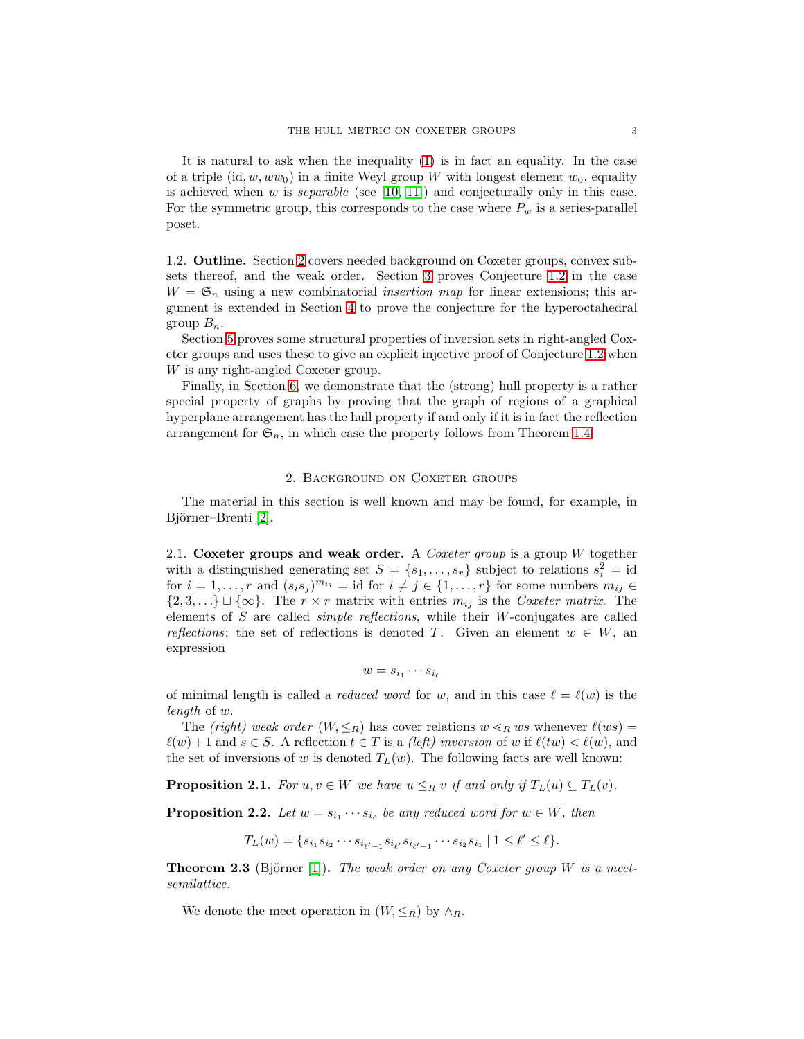It is natural to ask when the inequality [\(1\)](#page-0-2) is in fact an equality. In the case of a triple  $(id, w, ww_0)$  in a finite Weyl group W with longest element  $w_0$ , equality is achieved when w is *separable* (see [\[10,](#page-12-3) [11\]](#page-12-4)) and conjecturally only in this case. For the symmetric group, this corresponds to the case where  $P_w$  is a series-parallel poset.

1.2. Outline. Section [2](#page-2-0) covers needed background on Coxeter groups, convex subsets thereof, and the weak order. Section [3](#page-3-1) proves Conjecture [1.2](#page-0-0) in the case  $W = \mathfrak{S}_n$  using a new combinatorial *insertion map* for linear extensions; this argument is extended in Section [4](#page-6-0) to prove the conjecture for the hyperoctahedral group  $B_n$ .

Section [5](#page-9-1) proves some structural properties of inversion sets in right-angled Coxeter groups and uses these to give an explicit injective proof of Conjecture [1.2](#page-0-0) when W is any right-angled Coxeter group.

Finally, in Section [6,](#page-10-0) we demonstrate that the (strong) hull property is a rather special property of graphs by proving that the graph of regions of a graphical hyperplane arrangement has the hull property if and only if it is in fact the reflection arrangement for  $\mathfrak{S}_n$ , in which case the property follows from Theorem [1.4.](#page-1-1)

### 2. BACKGROUND ON COXETER GROUPS

<span id="page-2-0"></span>The material in this section is well known and may be found, for example, in Björner–Brenti [\[2\]](#page-12-9).

2.1. Coxeter groups and weak order. A *Coxeter group* is a group W together with a distinguished generating set  $S = \{s_1, \ldots, s_r\}$  subject to relations  $s_i^2 = id$ for  $i = 1, \ldots, r$  and  $(s_i s_j)^{m_{ij}} = id$  for  $i \neq j \in \{1, \ldots, r\}$  for some numbers  $m_{ij} \in$  ${2, 3, \ldots} \cup {\infty}$ . The  $r \times r$  matrix with entries  $m_{ij}$  is the *Coxeter matrix*. The elements of S are called *simple reflections*, while their W-conjugates are called *reflections*; the set of reflections is denoted T. Given an element  $w \in W$ , an expression

$$
w = s_{i_1} \cdots s_{i_\ell}
$$

of minimal length is called a *reduced word* for w, and in this case  $\ell = \ell(w)$  is the *length* of w.

The *(right)* weak order  $(W, \leq_R)$  has cover relations  $w \leq_R ws$  whenever  $\ell(ws)$  $\ell(w) + 1$  and  $s \in S$ . A reflection  $t \in T$  is a *(left) inversion* of w if  $\ell(tw) < \ell(w)$ , and the set of inversions of w is denoted  $T_L(w)$ . The following facts are well known:

**Proposition 2.1.** *For*  $u, v \in W$  *we have*  $u \leq_R v$  *if and only if*  $T_L(u) \subseteq T_L(v)$ *.* 

<span id="page-2-1"></span>**Proposition 2.2.** Let  $w = s_{i_1} \cdots s_{i_\ell}$  be any reduced word for  $w \in W$ , then

 $T_L(w) = \{ s_{i_1} s_{i_2} \cdots s_{i_{\ell'-1}} s_{i_{\ell'}} s_{i_{\ell'-1}} \cdots s_{i_2} s_{i_1} \mid 1 \leq \ell' \leq \ell \}.$ 

**Theorem 2.3** (Björner [\[1\]](#page-12-10)). *The weak order on any Coxeter group* W *is a meetsemilattice.*

We denote the meet operation in  $(W, \leq_R)$  by  $\wedge_R$ .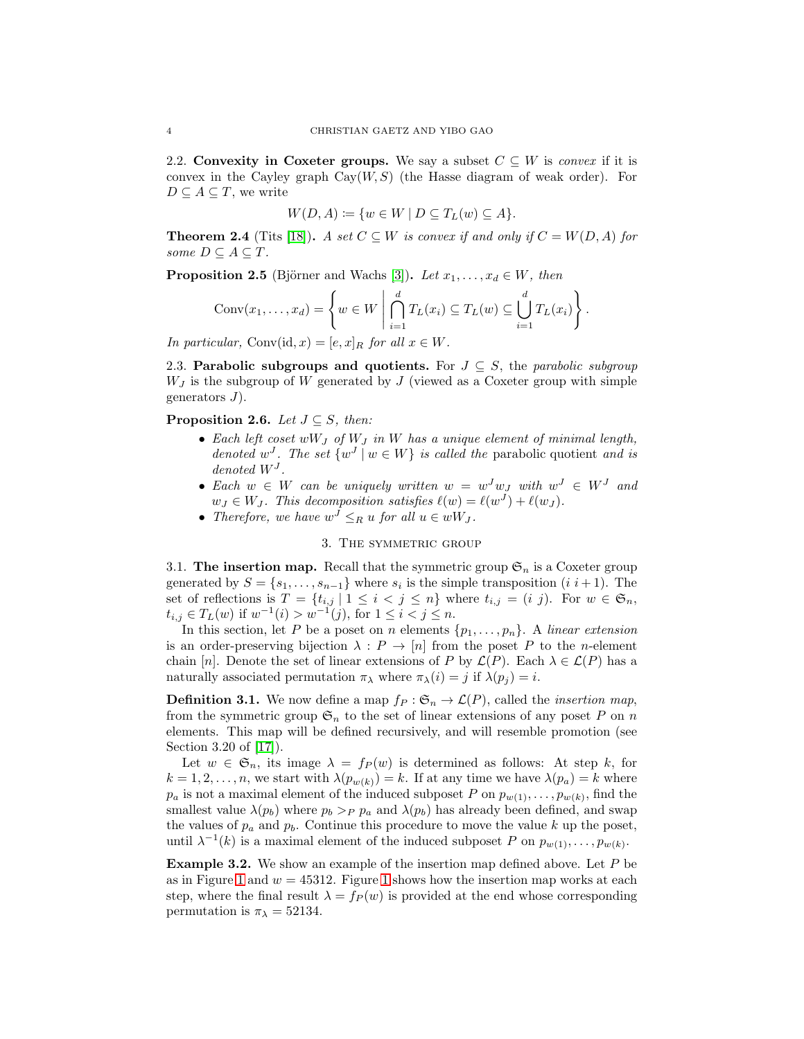2.2. Convexity in Coxeter groups. We say a subset  $C \subseteq W$  is *convex* if it is convex in the Cayley graph  $Cay(W, S)$  (the Hasse diagram of weak order). For  $D \subseteq A \subseteq T$ , we write

$$
W(D, A) \coloneqq \{ w \in W \mid D \subseteq T_L(w) \subseteq A \}.
$$

**Theorem 2.4** (Tits [\[18\]](#page-13-0)). *A set*  $C \subseteq W$  *is convex if and only if*  $C = W(D, A)$  *for some*  $D \subseteq A \subseteq T$ *.* 

<span id="page-3-2"></span>**Proposition 2.5** (Björner and Wachs [\[3\]](#page-12-0)). *Let*  $x_1, \ldots, x_d \in W$ , then

$$
Conv(x_1,...,x_d) = \left\{ w \in W \mid \bigcap_{i=1}^d T_L(x_i) \subseteq T_L(w) \subseteq \bigcup_{i=1}^d T_L(x_i) \right\}.
$$

*In particular,* Conv(id, x) =  $[e, x]_R$  *for all*  $x \in W$ .

2.3. **Parabolic subgroups and quotients.** For  $J \subseteq S$ , the *parabolic subgroup*  $W_J$  is the subgroup of W generated by J (viewed as a Coxeter group with simple generators  $J$ ).

## **Proposition 2.6.** *Let*  $J \subseteq S$ *, then:*

- *Each left coset* wW<sup>J</sup> *of* W<sup>J</sup> *in* W *has a unique element of minimal length, denoted*  $w^J$ . The set  $\{w^J | w \in W\}$  *is called the* parabolic quotient *and is*  $denoted W<sup>J</sup>$ .
- Each  $w \in W$  can be uniquely written  $w = w^J w_J$  with  $w^J \in W^J$  and  $w_J \in W_J$ . This decomposition satisfies  $\ell(w) = \ell(w^J) + \ell(w_J)$ .
- <span id="page-3-1"></span>• *Therefore, we have*  $w^J \leq_R u$  *for all*  $u \in wW_J$ *.*

# 3. THE SYMMETRIC GROUP

3.1. The insertion map. Recall that the symmetric group  $\mathfrak{S}_n$  is a Coxeter group generated by  $S = \{s_1, \ldots, s_{n-1}\}\$  where  $s_i$  is the simple transposition  $(i \ i+1)$ . The set of reflections is  $T = \{t_{i,j} | 1 \leq i < j \leq n\}$  where  $t_{i,j} = (i \, j)$ . For  $w \in \mathfrak{S}_n$ ,  $t_{i,j} \in T_L(w)$  if  $w^{-1}(i) > w^{-1}(j)$ , for  $1 \leq i < j \leq n$ .

In this section, let P be a poset on n elements  $\{p_1, \ldots, p_n\}$ . A *linear extension* is an order-preserving bijection  $\lambda : P \to [n]$  from the poset P to the n-element chain [n]. Denote the set of linear extensions of P by  $\mathcal{L}(P)$ . Each  $\lambda \in \mathcal{L}(P)$  has a naturally associated permutation  $\pi_{\lambda}$  where  $\pi_{\lambda}(i) = j$  if  $\lambda(p_i) = i$ .

<span id="page-3-0"></span>**Definition 3.1.** We now define a map  $f_P : \mathfrak{S}_n \to \mathcal{L}(P)$ , called the *insertion map*, from the symmetric group  $\mathfrak{S}_n$  to the set of linear extensions of any poset P on n elements. This map will be defined recursively, and will resemble promotion (see Section 3.20 of [\[17\]](#page-12-11)).

Let  $w \in \mathfrak{S}_n$ , its image  $\lambda = f_P(w)$  is determined as follows: At step k, for  $k = 1, 2, \ldots, n$ , we start with  $\lambda(p_{w(k)}) = k$ . If at any time we have  $\lambda(p_a) = k$  where  $p_a$  is not a maximal element of the induced subposet P on  $p_{w(1)}, \ldots, p_{w(k)}$ , find the smallest value  $\lambda(p_b)$  where  $p_b >_P p_a$  and  $\lambda(p_b)$  has already been defined, and swap the values of  $p_a$  and  $p_b$ . Continue this procedure to move the value k up the poset, until  $\lambda^{-1}(k)$  is a maximal element of the induced subposet P on  $p_{w(1)}, \ldots, p_{w(k)}$ .

**Example 3.2.** We show an example of the insertion map defined above. Let P be as in Figure [1](#page-4-0) and  $w = 45312$ . Figure 1 shows how the insertion map works at each step, where the final result  $\lambda = f_P(w)$  is provided at the end whose corresponding permutation is  $\pi_{\lambda} = 52134$ .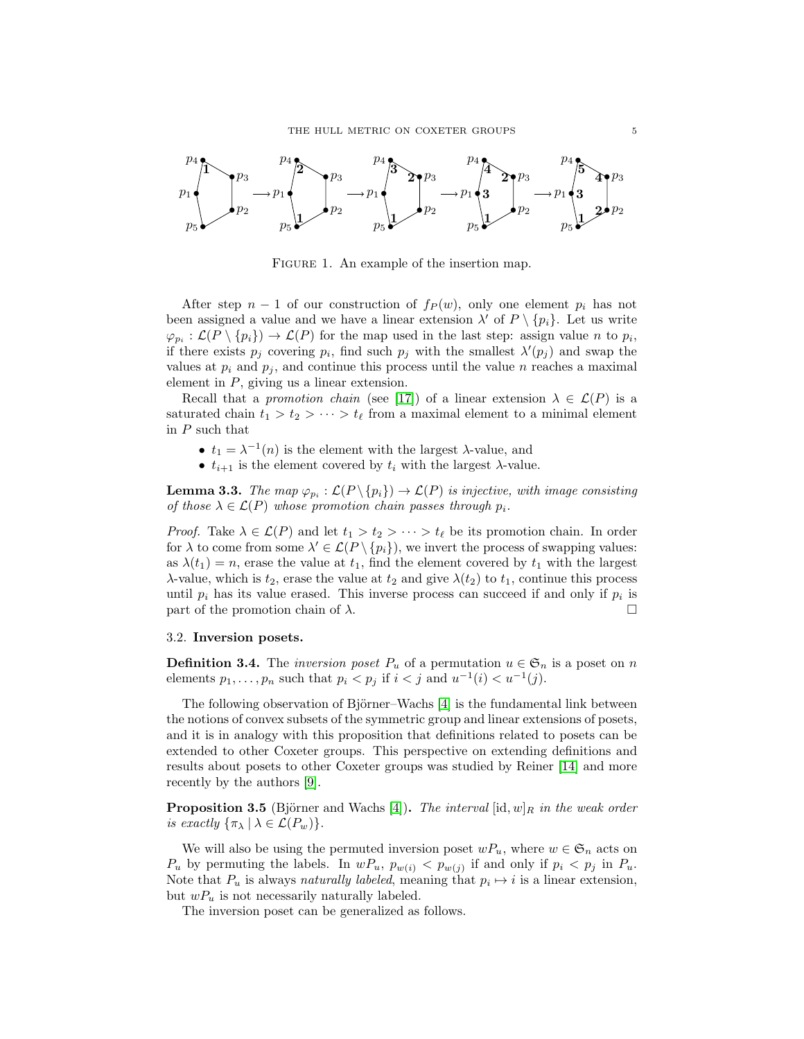

<span id="page-4-0"></span>FIGURE 1. An example of the insertion map.

After step  $n-1$  of our construction of  $f_P(w)$ , only one element  $p_i$  has not been assigned a value and we have a linear extension  $\lambda'$  of  $P \setminus \{p_i\}$ . Let us write  $\varphi_{p_i} : \mathcal{L}(P \setminus \{p_i\}) \to \mathcal{L}(P)$  for the map used in the last step: assign value n to  $p_i$ , if there exists  $p_j$  covering  $p_i$ , find such  $p_j$  with the smallest  $\lambda'(p_j)$  and swap the values at  $p_i$  and  $p_j$ , and continue this process until the value n reaches a maximal element in  $P$ , giving us a linear extension.

Recall that a *promotion chain* (see [\[17\]](#page-12-11)) of a linear extension  $\lambda \in \mathcal{L}(P)$  is a saturated chain  $t_1 > t_2 > \cdots > t_\ell$  from a maximal element to a minimal element in  $P$  such that

- $t_1 = \lambda^{-1}(n)$  is the element with the largest  $\lambda$ -value, and
- $t_{i+1}$  is the element covered by  $t_i$  with the largest  $\lambda$ -value.

<span id="page-4-2"></span>**Lemma 3.3.** The map  $\varphi_{p_i} : \mathcal{L}(P \setminus \{p_i\}) \to \mathcal{L}(P)$  is injective, with image consisting *of those*  $\lambda \in \mathcal{L}(P)$  *whose promotion chain passes through*  $p_i$ *.* 

*Proof.* Take  $\lambda \in \mathcal{L}(P)$  and let  $t_1 > t_2 > \cdots > t_\ell$  be its promotion chain. In order for  $\lambda$  to come from some  $\lambda' \in \mathcal{L}(P \setminus \{p_i\})$ , we invert the process of swapping values: as  $\lambda(t_1) = n$ , erase the value at  $t_1$ , find the element covered by  $t_1$  with the largest  $\lambda$ -value, which is  $t_2$ , erase the value at  $t_2$  and give  $\lambda(t_2)$  to  $t_1$ , continue this process until  $p_i$  has its value erased. This inverse process can succeed if and only if  $p_i$  is part of the promotion chain of  $\lambda$ .

#### 3.2. Inversion posets.

**Definition 3.4.** The *inversion poset*  $P_u$  of a permutation  $u \in \mathfrak{S}_n$  is a poset on n elements  $p_1, \ldots, p_n$  such that  $p_i < p_j$  if  $i < j$  and  $u^{-1}(i) < u^{-1}(j)$ .

The following observation of Björner–Wachs [\[4\]](#page-12-12) is the fundamental link between the notions of convex subsets of the symmetric group and linear extensions of posets, and it is in analogy with this proposition that definitions related to posets can be extended to other Coxeter groups. This perspective on extending definitions and results about posets to other Coxeter groups was studied by Reiner [\[14\]](#page-12-13) and more recently by the authors [\[9\]](#page-12-14).

<span id="page-4-1"></span>**Proposition 3.5** (Björner and Wachs [\[4\]](#page-12-12)). *The interval* [id,  $w|_R$  *in the weak order is exactly*  $\{\pi_{\lambda} \mid \lambda \in \mathcal{L}(P_w)\}.$ 

We will also be using the permuted inversion poset  $wP_u$ , where  $w \in \mathfrak{S}_n$  acts on  $P_u$  by permuting the labels. In  $wP_u$ ,  $p_{w(i)} < p_{w(j)}$  if and only if  $p_i < p_j$  in  $P_u$ . Note that  $P_u$  is always *naturally labeled*, meaning that  $p_i \mapsto i$  is a linear extension, but  $wP_u$  is not necessarily naturally labeled.

The inversion poset can be generalized as follows.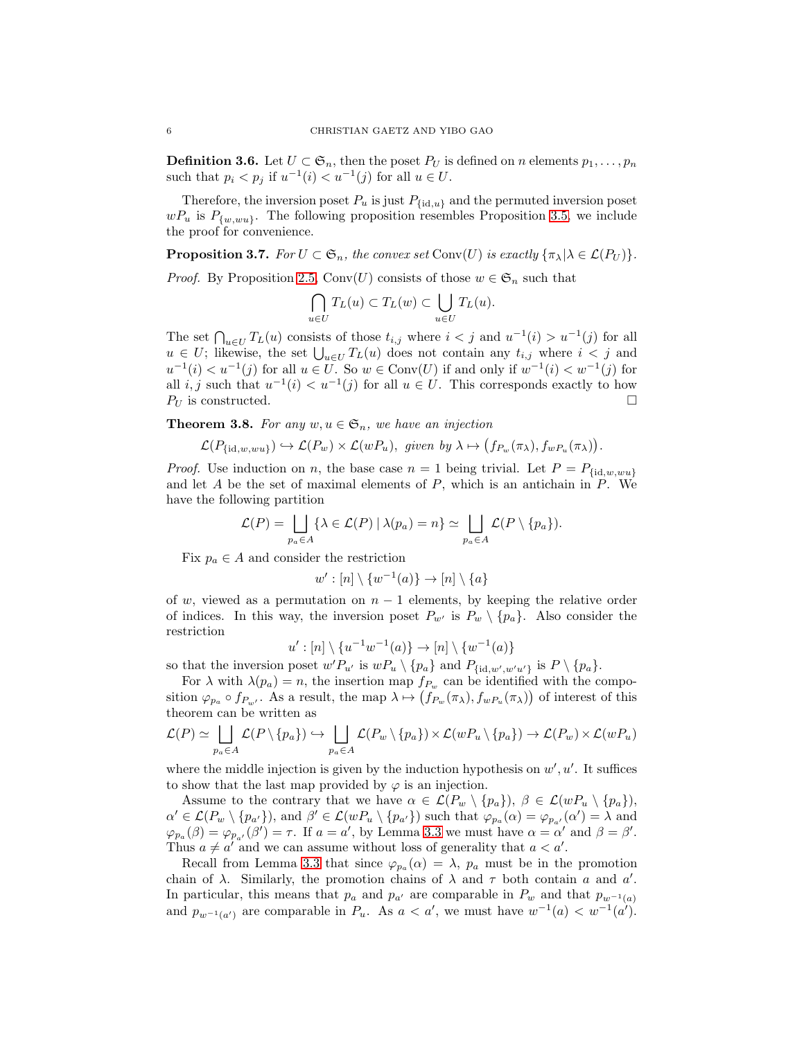**Definition 3.6.** Let  $U \subset \mathfrak{S}_n$ , then the poset  $P_U$  is defined on n elements  $p_1, \ldots, p_n$ such that  $p_i < p_j$  if  $u^{-1}(i) < u^{-1}(j)$  for all  $u \in U$ .

Therefore, the inversion poset  $P_u$  is just  $P_{\{\mathrm{id},u\}}$  and the permuted inversion poset  $wP_u$  is  $P_{\{w,ww\}}$ . The following proposition resembles Proposition [3.5,](#page-4-1) we include the proof for convenience.

<span id="page-5-1"></span>**Proposition 3.7.** *For*  $U \subset \mathfrak{S}_n$ *, the convex set* Conv $(U)$  *is exactly*  $\{\pi_{\lambda} | \lambda \in \mathcal{L}(P_U)\}$ *.* 

*Proof.* By Proposition [2.5,](#page-3-2) Conv(U) consists of those  $w \in \mathfrak{S}_n$  such that

$$
\bigcap_{u \in U} T_L(u) \subset T_L(w) \subset \bigcup_{u \in U} T_L(u).
$$

The set  $\bigcap_{u\in U} T_L(u)$  consists of those  $t_{i,j}$  where  $i < j$  and  $u^{-1}(i) > u^{-1}(j)$  for all  $u \in U$ ; likewise, the set  $\bigcup_{u \in U} T_L(u)$  does not contain any  $t_{i,j}$  where  $i < j$  and  $u^{-1}(i) < u^{-1}(j)$  for all  $u \in U$ . So  $w \in Conv(U)$  if and only if  $w^{-1}(i) < w^{-1}(j)$  for all i, j such that  $u^{-1}(i) < u^{-1}(j)$  for all  $u \in U$ . This corresponds exactly to how  $P_U$  is constructed.

<span id="page-5-0"></span>**Theorem 3.8.** For any  $w, u \in \mathfrak{S}_n$ , we have an injection

$$
\mathcal{L}(P_{\{\mathrm{id},w, w u\}}) \hookrightarrow \mathcal{L}(P_w) \times \mathcal{L}(w P_u), \text{ given by } \lambda \mapsto (f_{P_w}(\pi_\lambda), f_{w P_u}(\pi_\lambda)).
$$

*Proof.* Use induction on n, the base case  $n = 1$  being trivial. Let  $P = P_{\text{fid},w,wu}$ and let A be the set of maximal elements of  $P$ , which is an antichain in  $P$ . We have the following partition

$$
\mathcal{L}(P) = \bigsqcup_{p_a \in A} \{ \lambda \in \mathcal{L}(P) \mid \lambda(p_a) = n \} \simeq \bigsqcup_{p_a \in A} \mathcal{L}(P \setminus \{p_a\}).
$$

Fix  $p_a \in A$  and consider the restriction

$$
w' : [n] \setminus \{w^{-1}(a)\} \to [n] \setminus \{a\}
$$

of w, viewed as a permutation on  $n-1$  elements, by keeping the relative order of indices. In this way, the inversion poset  $P_{w'}$  is  $P_w \setminus \{p_a\}$ . Also consider the restriction

$$
u': [n] \setminus \{u^{-1}w^{-1}(a)\} \to [n] \setminus \{w^{-1}(a)\}
$$

so that the inversion poset  $w'P_{u'}$  is  $wP_u \setminus \{p_a\}$  and  $P_{\{\mathrm{id},w',w'u'\}}$  is  $P \setminus \{p_a\}.$ 

For  $\lambda$  with  $\lambda(p_a) = n$ , the insertion map  $f_{P_w}$  can be identified with the composition  $\varphi_{p_a} \circ f_{P_{w'}}$ . As a result, the map  $\lambda \mapsto (f_{P_w}(\pi_\lambda), f_{wP_u}(\pi_\lambda))$  of interest of this theorem can be written as

$$
\mathcal{L}(P) \simeq \bigsqcup_{p_a \in A} \mathcal{L}(P \setminus \{p_a\}) \hookrightarrow \bigsqcup_{p_a \in A} \mathcal{L}(P_w \setminus \{p_a\}) \times \mathcal{L}(wP_u \setminus \{p_a\}) \to \mathcal{L}(P_w) \times \mathcal{L}(wP_u)
$$

where the middle injection is given by the induction hypothesis on  $w', u'$ . It suffices to show that the last map provided by  $\varphi$  is an injection.

Assume to the contrary that we have  $\alpha \in \mathcal{L}(P_w \setminus \{p_a\}), \beta \in \mathcal{L}(wP_u \setminus \{p_a\}),$  $\alpha' \in \mathcal{L}(P_w \setminus \{p_{a'}\})$ , and  $\beta' \in \mathcal{L}(wP_u \setminus \{p_{a'}\})$  such that  $\varphi_{p_a}(\alpha) = \varphi_{p_{a'}}(\alpha') = \lambda$  and  $\varphi_{p_a}(\beta) = \varphi_{p_{a'}}(\beta') = \tau$ . If  $a = a'$ , by Lemma [3.3](#page-4-2) we must have  $\alpha = \alpha'$  and  $\beta = \beta'$ . Thus  $a \neq a'$  and we can assume without loss of generality that  $a < a'$ .

Recall from Lemma [3.3](#page-4-2) that since  $\varphi_{p_a}(\alpha) = \lambda$ ,  $p_a$  must be in the promotion chain of  $\lambda$ . Similarly, the promotion chains of  $\lambda$  and  $\tau$  both contain a and a'. In particular, this means that  $p_a$  and  $p_{a'}$  are comparable in  $P_w$  and that  $p_{w^{-1}(a)}$ and  $p_{w^{-1}(a')}$  are comparable in  $P_u$ . As  $a < a'$ , we must have  $w^{-1}(a) < w^{-1}(a')$ .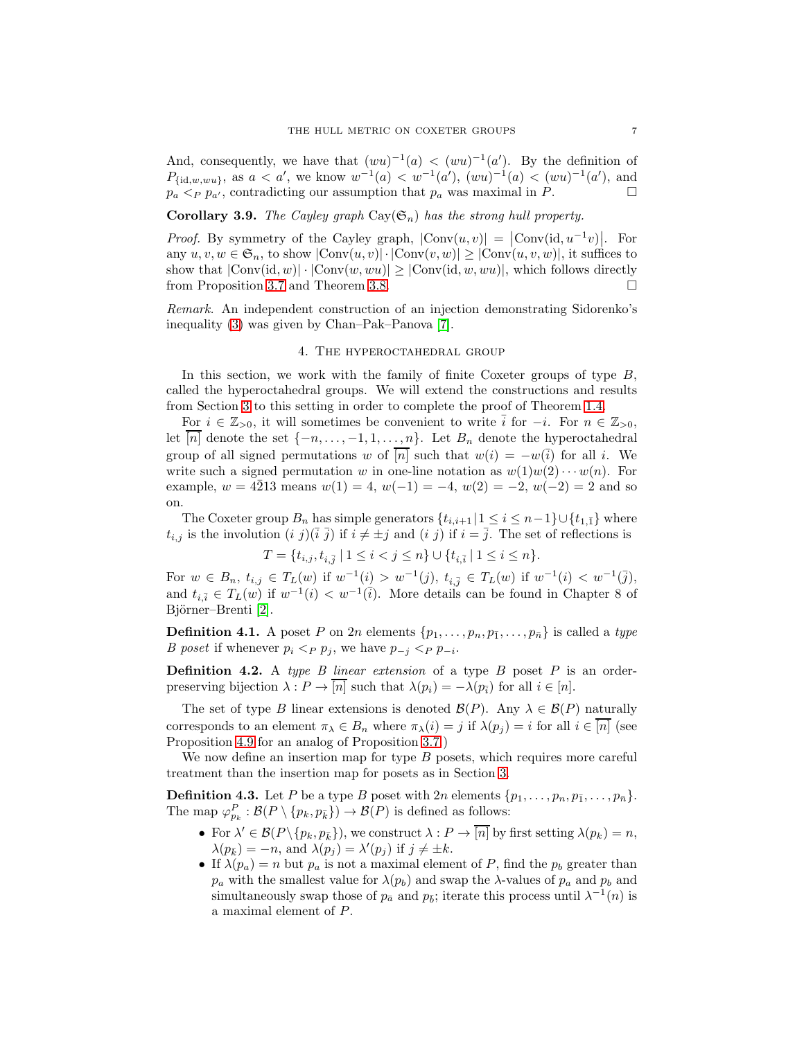And, consequently, we have that  $(wu)^{-1}(a) < (wu)^{-1}(a')$ . By the definition of  $P_{\{\mathrm{id},w,wu\}}$ , as  $a < a'$ , we know  $w^{-1}(a) < w^{-1}(a')$ ,  $(wu)^{-1}(a) < (wu)^{-1}(a')$ , and  $p_a \leq_P p_{a'}$ , contradicting our assumption that  $p_a$  was maximal in P.

<span id="page-6-1"></span>**Corollary 3.9.** *The Cayley graph*  $\text{Cay}(\mathfrak{S}_n)$  *has the strong hull property.* 

*Proof.* By symmetry of the Cayley graph,  $|\text{Conv}(u, v)| = |\text{Conv}(\text{id}, u^{-1}v)|$ . For any  $u, v, w \in \mathfrak{S}_n$ , to show  $|\text{Conv}(u, v)| \cdot |\text{Conv}(v, w)| \ge |\text{Conv}(u, v, w)|$ , it suffices to show that  $|\text{Conv}(\text{id}, w)| \cdot |\text{Conv}(w, wu)| \ge |\text{Conv}(\text{id}, w, wu)|$ , which follows directly from Proposition [3.7](#page-5-1) and Theorem [3.8.](#page-5-0)

<span id="page-6-0"></span>*Remark.* An independent construction of an injection demonstrating Sidorenko's inequality [\(3\)](#page-1-0) was given by Chan–Pak–Panova [\[7\]](#page-12-7).

#### 4. The hyperoctahedral group

In this section, we work with the family of finite Coxeter groups of type  $B$ , called the hyperoctahedral groups. We will extend the constructions and results from Section [3](#page-3-1) to this setting in order to complete the proof of Theorem [1.4.](#page-1-1)

For  $i \in \mathbb{Z}_{>0}$ , it will sometimes be convenient to write  $\overline{i}$  for  $-i$ . For  $n \in \mathbb{Z}_{>0}$ , let [n] denote the set  $\{-n, \ldots, -1, 1, \ldots, n\}$ . Let  $B_n$  denote the hyperoctahedral group of all signed permutations w of  $\overline{[n]}$  such that  $w(i) = -w(\overline{i})$  for all i. We write such a signed permutation w in one-line notation as  $w(1)w(2)\cdots w(n)$ . For example,  $w = 4\overline{2}13$  means  $w(1) = 4$ ,  $w(-1) = -4$ ,  $w(2) = -2$ ,  $w(-2) = 2$  and so on.

The Coxeter group  $B_n$  has simple generators  $\{t_{i,i+1} | 1 \le i \le n-1\} \cup \{t_{1,\bar{1}}\}$  where  $t_{i,j}$  is the involution  $(i\ j)(\overline{i}\ \overline{j})$  if  $i\neq \pm j$  and  $(i\ j)$  if  $i=\overline{j}$ . The set of reflections is

$$
T = \{t_{i,j}, t_{i,\bar{j}} \mid 1 \le i < j \le n\} \cup \{t_{i,\bar{i}} \mid 1 \le i \le n\}.
$$

For  $w \in B_n$ ,  $t_{i,j} \in T_L(w)$  if  $w^{-1}(i) > w^{-1}(j)$ ,  $t_{i,\bar{j}} \in T_L(w)$  if  $w^{-1}(i) < w^{-1}(\bar{j})$ , and  $t_{i,\bar{i}} \in T_L(w)$  if  $w^{-1}(i) < w^{-1}(\bar{i})$ . More details can be found in Chapter 8 of Björner–Brenti [\[2\]](#page-12-9).

**Definition 4.1.** A poset P on 2n elements  $\{p_1, \ldots, p_n, p_{\bar{1}}, \ldots, p_{\bar{n}}\}$  is called a *type B poset* if whenever  $p_i <_{P} p_j$ , we have  $p_{-j} <_{P} p_{-i}$ .

Definition 4.2. A *type B linear extension* of a type B poset P is an orderpreserving bijection  $\lambda : P \to [n]$  such that  $\lambda(p_i) = -\lambda(p_i)$  for all  $i \in [n]$ .

The set of type B linear extensions is denoted  $\mathcal{B}(P)$ . Any  $\lambda \in \mathcal{B}(P)$  naturally corresponds to an element  $\pi_{\lambda} \in B_n$  where  $\pi_{\lambda}(i) = j$  if  $\lambda(p_i) = i$  for all  $i \in [n]$  (see Proposition [4.9](#page-8-1) for an analog of Proposition [3.7.](#page-5-1))

We now define an insertion map for type  $B$  posets, which requires more careful treatment than the insertion map for posets as in Section [3.](#page-3-1)

**Definition 4.3.** Let P be a type B poset with  $2n$  elements  $\{p_1, \ldots, p_n, p_{\bar{1}}, \ldots, p_{\bar{n}}\}.$ The map  $\varphi_{p_k}^P : \mathcal{B}(P \setminus \{p_k, p_{\bar{k}}\}) \to \mathcal{B}(P)$  is defined as follows:

- For  $\lambda' \in \mathcal{B}(P \setminus \{p_k, p_{\bar{k}}\})$ , we construct  $\lambda : P \to \overline{[n]}$  by first setting  $\lambda(p_k) = n$ ,  $\lambda(p_{\bar{k}}) = -n$ , and  $\lambda(p_j) = \lambda'(p_j)$  if  $j \neq \pm k$ .
- If  $\lambda(p_a) = n$  but  $p_a$  is not a maximal element of P, find the  $p_b$  greater than  $p_a$  with the smallest value for  $\lambda(p_b)$  and swap the  $\lambda$ -values of  $p_a$  and  $p_b$  and simultaneously swap those of  $p_{\bar{a}}$  and  $p_{\bar{b}}$ ; iterate this process until  $\lambda^{-1}(n)$  is a maximal element of P.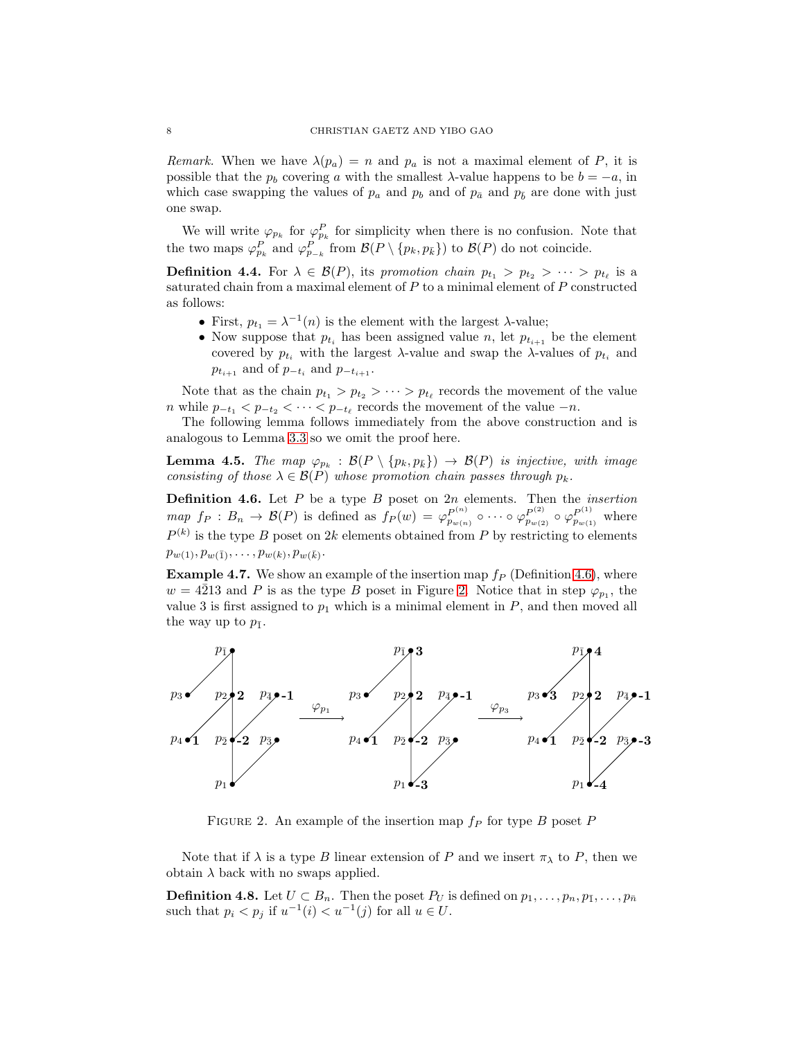*Remark.* When we have  $\lambda(p_a) = n$  and  $p_a$  is not a maximal element of P, it is possible that the  $p_b$  covering a with the smallest  $\lambda$ -value happens to be  $b = -a$ , in which case swapping the values of  $p_a$  and  $p_b$  and of  $p_{\bar{a}}$  and  $p_{\bar{b}}$  are done with just one swap.

We will write  $\varphi_{p_k}$  for  $\varphi_{p_k}^P$  for simplicity when there is no confusion. Note that the two maps  $\varphi_{p_k}^P$  and  $\varphi_{p_{-k}}^P$  from  $\mathcal{B}(P \setminus \{p_k, p_k\})$  to  $\mathcal{B}(P)$  do not coincide.

**Definition 4.4.** For  $\lambda \in \mathcal{B}(P)$ , its promotion chain  $p_{t_1} > p_{t_2} > \cdots > p_{t_\ell}$  is a saturated chain from a maximal element of  $P$  to a minimal element of  $P$  constructed as follows:

- First,  $p_{t_1} = \lambda^{-1}(n)$  is the element with the largest  $\lambda$ -value;
- Now suppose that  $p_{t_i}$  has been assigned value n, let  $p_{t_{i+1}}$  be the element covered by  $p_{t_i}$  with the largest  $\lambda$ -value and swap the  $\lambda$ -values of  $p_{t_i}$  and  $p_{t_{i+1}}$  and of  $p_{-t_i}$  and  $p_{-t_{i+1}}$ .

Note that as the chain  $p_{t_1} > p_{t_2} > \cdots > p_{t_\ell}$  records the movement of the value n while  $p_{-t_1} < p_{-t_2} < \cdots < p_{-t_\ell}$  records the movement of the value  $-n$ .

The following lemma follows immediately from the above construction and is analogous to Lemma [3.3](#page-4-2) so we omit the proof here.

<span id="page-7-2"></span>**Lemma 4.5.** *The map*  $\varphi_{p_k}$  :  $\mathcal{B}(P \setminus \{p_k, p_{\bar{k}}\}) \rightarrow \mathcal{B}(P)$  *is injective, with image consisting of those*  $\lambda \in \mathcal{B}(P)$  *whose promotion chain passes through*  $p_k$ *.* 

<span id="page-7-0"></span>Definition 4.6. Let P be a type B poset on 2n elements. Then the *insertion map*  $f_P: B_n \to \mathcal{B}(P)$  is defined as  $f_P(w) = \varphi_{p_{w(n)}}^{P^{(n)}} \circ \cdots \circ \varphi_{p_{w(2)}}^{P^{(2)}} \circ \varphi_{p_{w(1)}}^{P^{(1)}}$  where  $P^{(k)}$  is the type B poset on 2k elements obtained from P by restricting to elements  $p_{w(1)}, p_{w(\bar{1})}, \ldots, p_{w(k)}, p_{w(\bar{k})}.$ 

**Example 4.7.** We show an example of the insertion map  $f_P$  (Definition [4.6\)](#page-7-0), where  $w = 4\overline{2}13$  and P is as the type B poset in Figure [2.](#page-7-1) Notice that in step  $\varphi_{p_1}$ , the value 3 is first assigned to  $p_1$  which is a minimal element in  $P$ , and then moved all the way up to  $p_{\bar{1}}$ .



<span id="page-7-1"></span>FIGURE 2. An example of the insertion map  $f_P$  for type B poset P

Note that if  $\lambda$  is a type B linear extension of P and we insert  $\pi_{\lambda}$  to P, then we obtain  $\lambda$  back with no swaps applied.

**Definition 4.8.** Let  $U \subset B_n$ . Then the poset  $P_U$  is defined on  $p_1, \ldots, p_n, p_{\bar{1}}, \ldots, p_{\bar{n}}$ such that  $p_i < p_j$  if  $u^{-1}(i) < u^{-1}(j)$  for all  $u \in U$ .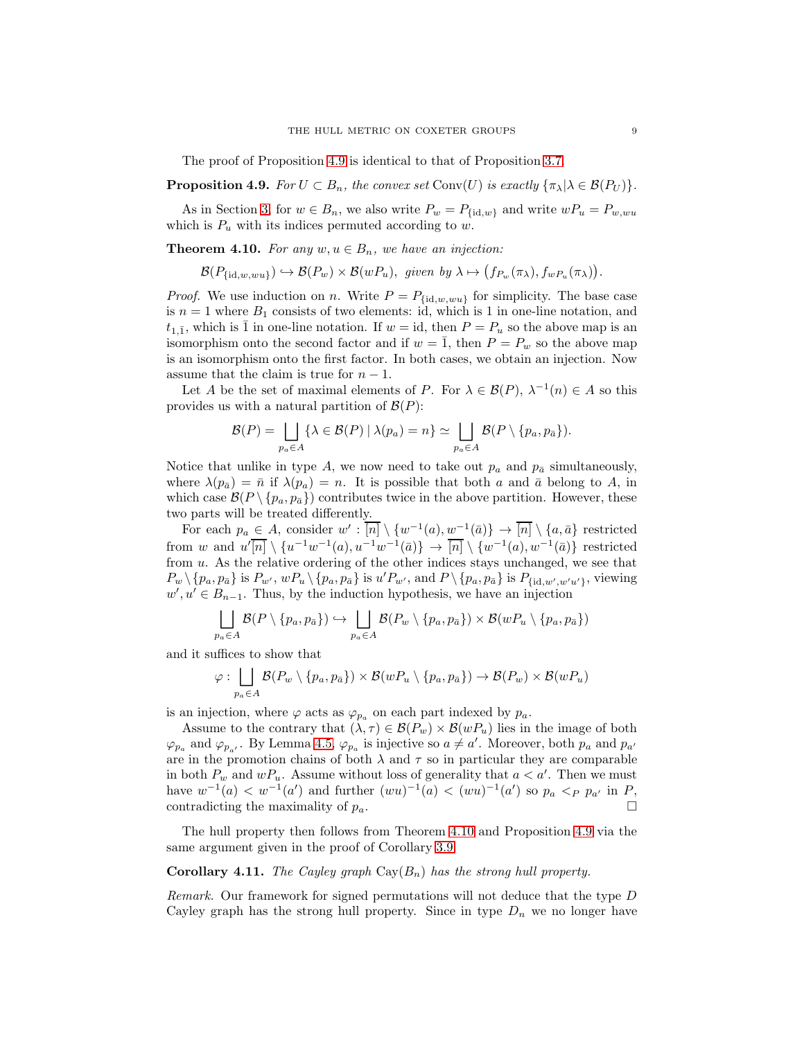The proof of Proposition [4.9](#page-8-1) is identical to that of Proposition [3.7.](#page-5-1)

<span id="page-8-1"></span>**Proposition 4.9.** *For*  $U \subset B_n$ *, the convex set* Conv $(U)$  *is exactly*  $\{\pi_{\lambda} | \lambda \in \mathcal{B}(P_U)\}$ *.* 

As in Section [3,](#page-3-1) for  $w \in B_n$ , we also write  $P_w = P_{\{\text{id},w\}}$  and write  $wP_u = P_{w,wu}$ which is  $P_u$  with its indices permuted according to w.

<span id="page-8-0"></span>**Theorem 4.10.** For any  $w, u \in B_n$ , we have an injection:

$$
\mathcal{B}(P_{\{\mathrm{id},w, w u\}}) \hookrightarrow \mathcal{B}(P_w) \times \mathcal{B}(w P_u), \text{ given by } \lambda \mapsto (f_{P_w}(\pi_\lambda), f_{w P_u}(\pi_\lambda)).
$$

*Proof.* We use induction on n. Write  $P = P_{\{\text{id},w,wu\}}$  for simplicity. The base case is  $n = 1$  where  $B_1$  consists of two elements: id, which is 1 in one-line notation, and  $t_{1,\bar{1}}$ , which is  $\bar{1}$  in one-line notation. If  $w = id$ , then  $P = P_u$  so the above map is an isomorphism onto the second factor and if  $w = \overline{1}$ , then  $P = P_w$  so the above map is an isomorphism onto the first factor. In both cases, we obtain an injection. Now assume that the claim is true for  $n - 1$ .

Let A be the set of maximal elements of P. For  $\lambda \in \mathcal{B}(P)$ ,  $\lambda^{-1}(n) \in A$  so this provides us with a natural partition of  $\mathcal{B}(P)$ :

$$
\mathcal{B}(P) = \bigsqcup_{p_a \in A} \{ \lambda \in \mathcal{B}(P) \mid \lambda(p_a) = n \} \simeq \bigsqcup_{p_a \in A} \mathcal{B}(P \setminus \{p_a, p_{\bar{a}}\}).
$$

Notice that unlike in type A, we now need to take out  $p_a$  and  $p_{\bar{a}}$  simultaneously, where  $\lambda(p_{\bar{a}}) = \bar{n}$  if  $\lambda(p_a) = n$ . It is possible that both a and  $\bar{a}$  belong to A, in which case  $\mathcal{B}(P \setminus \{p_a, p_{\bar{a}}\})$  contributes twice in the above partition. However, these two parts will be treated differently.

For each  $p_a \in A$ , consider  $w' : \overline{[n]} \setminus \{w^{-1}(a), w^{-1}(\overline{a})\} \to \overline{[n]} \setminus \{a, \overline{a}\}$  restricted from w and  $u'[\overline{n}] \setminus \{u^{-1}w^{-1}(a), u^{-1}w^{-1}(\overline{a})\} \to \overline{[n]} \setminus \{w^{-1}(a), w^{-1}(\overline{a})\}$  restricted from u. As the relative ordering of the other indices stays unchanged, we see that  $P_w \setminus \{p_a, p_{\bar{a}}\}$  is  $P_{w'}, wP_u \setminus \{p_a, p_{\bar{a}}\}$  is  $u'P_{w'},$  and  $P \setminus \{p_a, p_{\bar{a}}\}$  is  $P_{\{\mathrm{id}, w', w'u'\}}$ , viewing  $w', u' \in B_{n-1}$ . Thus, by the induction hypothesis, we have an injection

$$
\bigcup_{p_a \in A} \mathcal{B}(P \setminus \{p_a, p_{\bar{a}}\}) \hookrightarrow \bigcup_{p_a \in A} \mathcal{B}(P_w \setminus \{p_a, p_{\bar{a}}\}) \times \mathcal{B}(wP_u \setminus \{p_a, p_{\bar{a}}\})
$$

and it suffices to show that

$$
\varphi: \bigsqcup_{p_a \in A} \mathcal{B}(P_w \setminus \{p_a, p_{\bar{a}}\}) \times \mathcal{B}(wP_u \setminus \{p_a, p_{\bar{a}}\}) \to \mathcal{B}(P_w) \times \mathcal{B}(wP_u)
$$

is an injection, where  $\varphi$  acts as  $\varphi_{p_a}$  on each part indexed by  $p_a$ .

Assume to the contrary that  $(\lambda, \tau) \in \mathcal{B}(P_w) \times \mathcal{B}(wP_u)$  lies in the image of both  $\varphi_{p_a}$  and  $\varphi_{p_{a'}}$ . By Lemma [4.5,](#page-7-2)  $\varphi_{p_a}$  is injective so  $a \neq a'$ . Moreover, both  $p_a$  and  $p_{a'}$ are in the promotion chains of both  $\lambda$  and  $\tau$  so in particular they are comparable in both  $P_w$  and  $wP_u$ . Assume without loss of generality that  $a < a'$ . Then we must have  $w^{-1}(a) < w^{-1}(a')$  and further  $(wu)^{-1}(a) < (wu)^{-1}(a')$  so  $p_a <_P p_{a'}$  in P, contradicting the maximality of  $p_a$ .

The hull property then follows from Theorem [4.10](#page-8-0) and Proposition [4.9](#page-8-1) via the same argument given in the proof of Corollary [3.9.](#page-6-1)

**Corollary 4.11.** *The Cayley graph*  $Cay(B_n)$  *has the strong hull property.* 

*Remark.* Our framework for signed permutations will not deduce that the type D Cayley graph has the strong hull property. Since in type  $D_n$  we no longer have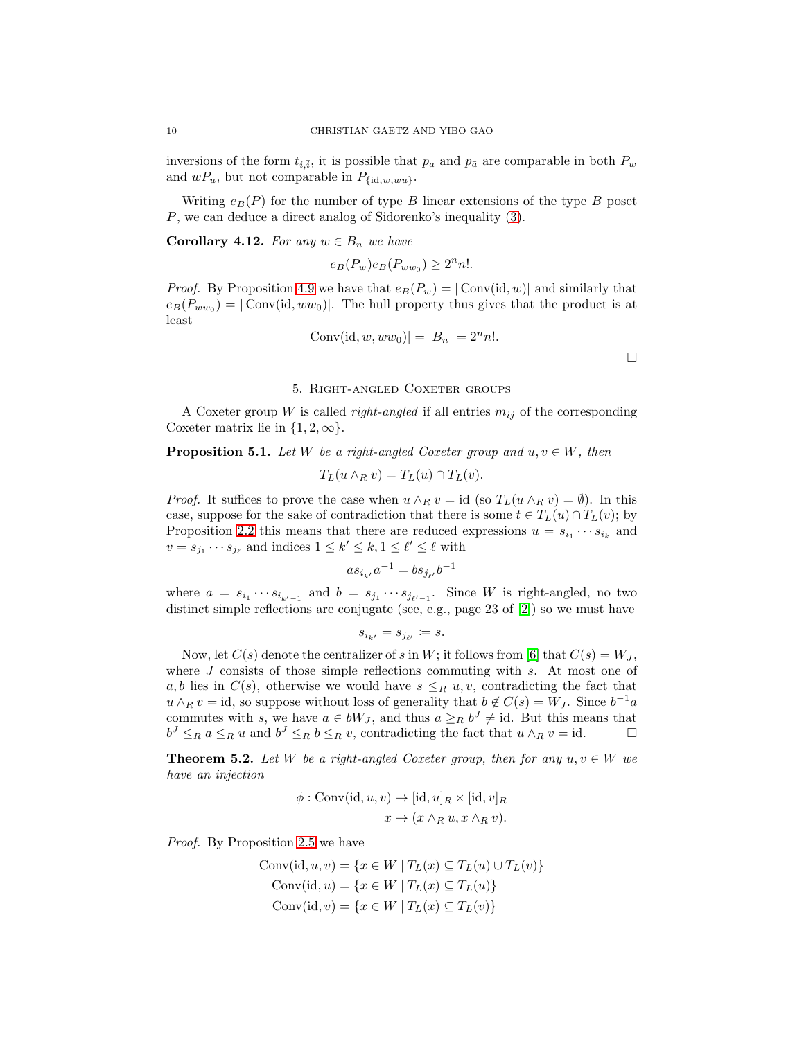inversions of the form  $t_{i,\bar{i}}$ , it is possible that  $p_a$  and  $p_{\bar{a}}$  are comparable in both  $P_w$ and  $wP_u$ , but not comparable in  $P_{\text{fid},w,wu}$ .

Writing  $e_B(P)$  for the number of type B linear extensions of the type B poset P, we can deduce a direct analog of Sidorenko's inequality [\(3\)](#page-1-0).

**Corollary 4.12.** For any  $w \in B_n$  we have

$$
e_B(P_w)e_B(P_{ww_0}) \ge 2^n n!.
$$

*Proof.* By Proposition [4.9](#page-8-1) we have that  $e_B(P_w) = |\text{Conv}(\text{id}, w)|$  and similarly that  $e_B(P_{ww_0}) = |\text{Conv}(\text{id}, ww_0)|$ . The hull property thus gives that the product is at least

$$
|\text{Conv}(\text{id}, w, ww_0)| = |B_n| = 2^n n!.
$$

## 5. Right-angled Coxeter groups

<span id="page-9-1"></span>A Coxeter group W is called *right-angled* if all entries  $m_{ij}$  of the corresponding Coxeter matrix lie in  $\{1, 2, \infty\}.$ 

<span id="page-9-2"></span>**Proposition 5.1.** *Let* W *be a right-angled Coxeter group and*  $u, v \in W$ *, then* 

$$
T_L(u \wedge_R v) = T_L(u) \cap T_L(v).
$$

*Proof.* It suffices to prove the case when  $u \wedge_R v = id$  (so  $T_L(u \wedge_R v) = \emptyset$ ). In this case, suppose for the sake of contradiction that there is some  $t \in T_L(u) \cap T_L(v)$ ; by Proposition [2.2](#page-2-1) this means that there are reduced expressions  $u = s_{i_1} \cdots s_{i_k}$  and  $v = s_{j_1} \cdots s_{j_\ell}$  and indices  $1 \leq k' \leq k, 1 \leq \ell' \leq \ell$  with

$$
as_{i_{k'}}a^{-1} = bs_{j_{\ell'}}b^{-1}
$$

where  $a = s_{i_1} \cdots s_{i_{k'-1}}$  and  $b = s_{j_1} \cdots s_{j_{\ell'-1}}$ . Since W is right-angled, no two distinct simple reflections are conjugate (see, e.g., page 23 of [\[2\]](#page-12-9)) so we must have

$$
s_{i_{k'}} = s_{j_{\ell'}} \coloneqq s.
$$

Now, let  $C(s)$  denote the centralizer of s in W; it follows from [\[6\]](#page-12-15) that  $C(s) = W_J$ , where  $J$  consists of those simple reflections commuting with  $s$ . At most one of a, b lies in  $C(s)$ , otherwise we would have  $s \leq_R u, v$ , contradicting the fact that  $u \wedge_R v = id$ , so suppose without loss of generality that  $b \notin C(s) = W_J$ . Since  $b^{-1}a$ commutes with s, we have  $a \in bW_J$ , and thus  $a \geq_R b^J \neq id$ . But this means that  $b^J \leq_R a \leq_R u$  and  $b^J \leq_R b \leq_R v$ , contradicting the fact that  $u \wedge_R v = id$ .

<span id="page-9-0"></span>**Theorem 5.2.** *Let* W *be a right-angled Coxeter group, then for any*  $u, v \in W$  *we have an injection*

$$
\phi: \text{Conv}(\text{id}, u, v) \to [\text{id}, u]_R \times [\text{id}, v]_R
$$

$$
x \mapsto (x \wedge_R u, x \wedge_R v).
$$

*Proof.* By Proposition [2.5](#page-3-2) we have

Conv(id, 
$$
u, v
$$
) = { $x \in W | T_L(x) \subseteq T_L(u) \cup T_L(v)$ }  
Conv(id,  $u$ ) = { $x \in W | T_L(x) \subseteq T_L(u)$ }  
Conv(id,  $v$ ) = { $x \in W | T_L(x) \subseteq T_L(v)$ }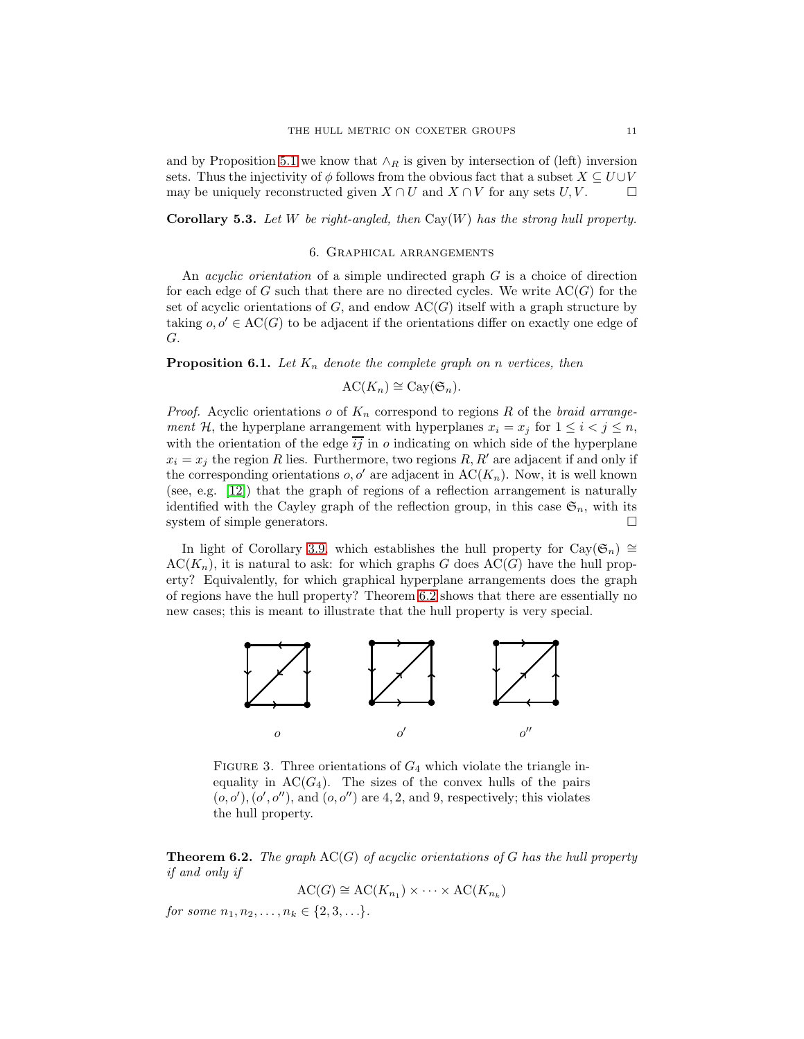and by Proposition [5.1](#page-9-2) we know that  $\wedge_R$  is given by intersection of (left) inversion sets. Thus the injectivity of  $\phi$  follows from the obvious fact that a subset  $X \subseteq U \cup V$ may be uniquely reconstructed given  $X \cap U$  and  $X \cap V$  for any sets  $U, V$ .

<span id="page-10-0"></span>Corollary 5.3. *Let* W *be right-angled, then* Cay(W) *has the strong hull property.*

### 6. Graphical arrangements

An *acyclic orientation* of a simple undirected graph G is a choice of direction for each edge of G such that there are no directed cycles. We write  $AC(G)$  for the set of acyclic orientations of  $G$ , and endow  $AC(G)$  itself with a graph structure by taking  $o, o' \in AC(G)$  to be adjacent if the orientations differ on exactly one edge of G.

<span id="page-10-2"></span>**Proposition 6.1.** Let  $K_n$  denote the complete graph on n vertices, then

$$
AC(K_n) \cong Cay(\mathfrak{S}_n).
$$

*Proof.* Acyclic orientations  $o$  of  $K_n$  correspond to regions R of the *braid arrangement* H, the hyperplane arrangement with hyperplanes  $x_i = x_j$  for  $1 \le i < j \le n$ , with the orientation of the edge  $\overline{ij}$  in o indicating on which side of the hyperplane  $x_i = x_j$  the region R lies. Furthermore, two regions R, R' are adjacent if and only if the corresponding orientations  $o, o'$  are adjacent in  $\mathrm{AC}(K_n)$ . Now, it is well known (see, e.g. [\[12\]](#page-12-16)) that the graph of regions of a reflection arrangement is naturally identified with the Cayley graph of the reflection group, in this case  $\mathfrak{S}_n$ , with its system of simple generators.

In light of Corollary [3.9,](#page-6-1) which establishes the hull property for Cay( $\mathfrak{S}_n$ ) ≅  $\mathrm{AC}(K_n)$ , it is natural to ask: for which graphs G does  $\mathrm{AC}(G)$  have the hull property? Equivalently, for which graphical hyperplane arrangements does the graph of regions have the hull property? Theorem [6.2](#page-10-1) shows that there are essentially no new cases; this is meant to illustrate that the hull property is very special.



<span id="page-10-3"></span>FIGURE 3. Three orientations of  $G_4$  which violate the triangle inequality in  $AC(G_4)$ . The sizes of the convex hulls of the pairs  $(o, o'), (o', o'')$ , and  $(o, o'')$  are 4, 2, and 9, respectively; this violates the hull property.

<span id="page-10-1"></span>Theorem 6.2. *The graph* AC(G) *of acyclic orientations of* G *has the hull property if and only if*

$$
AC(G) \cong AC(K_{n_1}) \times \cdots \times AC(K_{n_k})
$$

*for some*  $n_1, n_2, \ldots, n_k \in \{2, 3, \ldots\}.$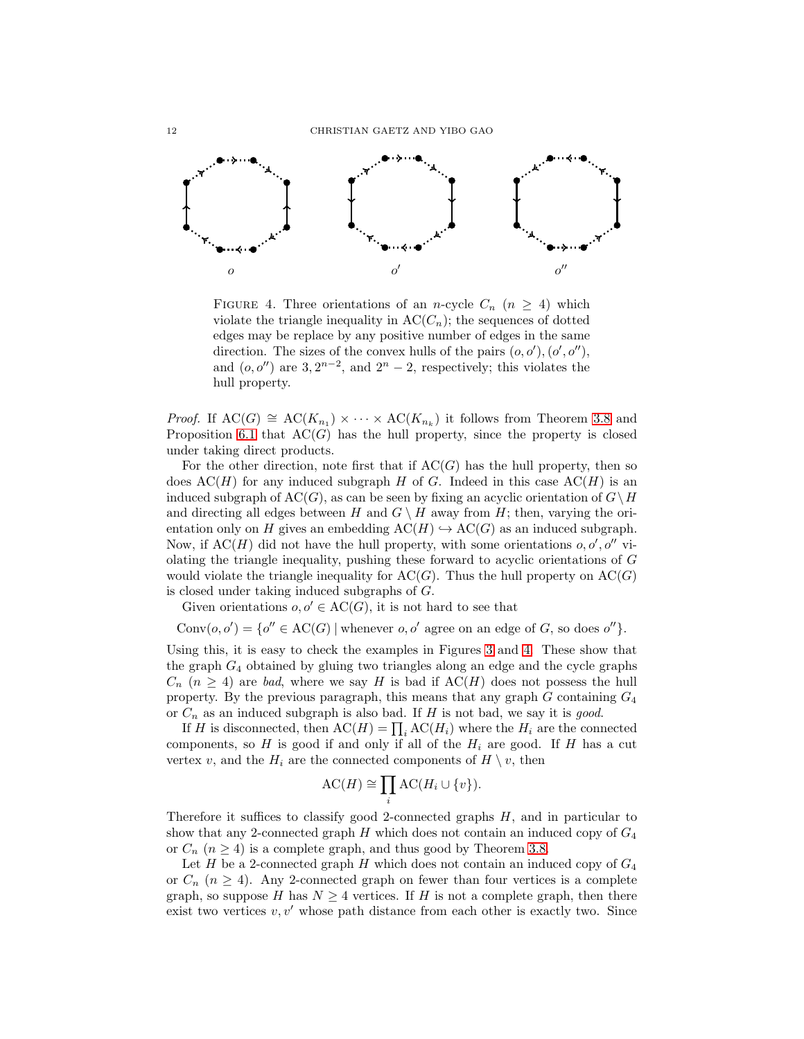

<span id="page-11-0"></span>FIGURE 4. Three orientations of an *n*-cycle  $C_n$  ( $n \geq 4$ ) which violate the triangle inequality in  $\mathrm{AC}(C_n)$ ; the sequences of dotted edges may be replace by any positive number of edges in the same direction. The sizes of the convex hulls of the pairs  $(o, o'), (o', o'')$ , and  $(o, o'')$  are 3,  $2^{n-2}$ , and  $2^n - 2$ , respectively; this violates the hull property.

*Proof.* If  $AC(G) \cong AC(K_{n_1}) \times \cdots \times AC(K_{n_k})$  it follows from Theorem [3.8](#page-5-0) and Proposition [6.1](#page-10-2) that  $AC(G)$  has the hull property, since the property is closed under taking direct products.

For the other direction, note first that if  $AC(G)$  has the hull property, then so does  $AC(H)$  for any induced subgraph H of G. Indeed in this case  $AC(H)$  is an induced subgraph of  $AC(G)$ , as can be seen by fixing an acyclic orientation of  $G\setminus H$ and directing all edges between H and  $G \setminus H$  away from H; then, varying the orientation only on H gives an embedding  $AC(H) \hookrightarrow AC(G)$  as an induced subgraph. Now, if  $AC(H)$  did not have the hull property, with some orientations  $o, o', o''$  violating the triangle inequality, pushing these forward to acyclic orientations of G would violate the triangle inequality for  $AC(G)$ . Thus the hull property on  $AC(G)$ is closed under taking induced subgraphs of G.

Given orientations  $o, o' \in AC(G)$ , it is not hard to see that

Conv $(o, o') = \{o'' \in AC(G) \mid \text{whenever } o, o' \text{ agree on an edge of } G, \text{ so does } o''\}.$ 

Using this, it is easy to check the examples in Figures [3](#page-10-3) and [4.](#page-11-0) These show that the graph  $G_4$  obtained by gluing two triangles along an edge and the cycle graphs  $C_n$  ( $n \geq 4$ ) are *bad*, where we say H is bad if  $AC(H)$  does not possess the hull property. By the previous paragraph, this means that any graph  $G$  containing  $G_4$ or C<sup>n</sup> as an induced subgraph is also bad. If H is not bad, we say it is *good*.

If H is disconnected, then  $AC(H) = \prod_i AC(H_i)$  where the  $H_i$  are the connected components, so  $H$  is good if and only if all of the  $H_i$  are good. If  $H$  has a cut vertex v, and the  $H_i$  are the connected components of  $H \setminus v$ , then

$$
AC(H) \cong \prod_i AC(H_i \cup \{v\}).
$$

Therefore it suffices to classify good 2-connected graphs  $H$ , and in particular to show that any 2-connected graph  $H$  which does not contain an induced copy of  $G_4$ or  $C_n$   $(n \geq 4)$  is a complete graph, and thus good by Theorem [3.8.](#page-5-0)

Let  $H$  be a 2-connected graph  $H$  which does not contain an induced copy of  $G_4$ or  $C_n$  ( $n \geq 4$ ). Any 2-connected graph on fewer than four vertices is a complete graph, so suppose H has  $N \geq 4$  vertices. If H is not a complete graph, then there exist two vertices  $v, v'$  whose path distance from each other is exactly two. Since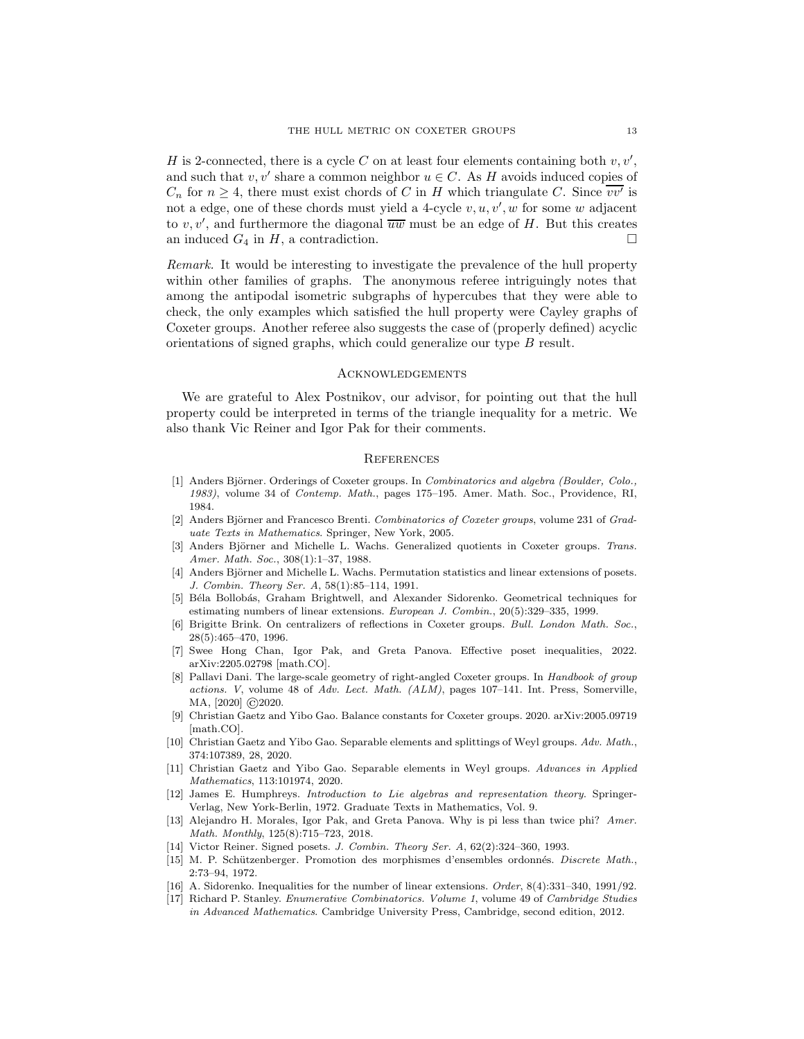H is 2-connected, there is a cycle C on at least four elements containing both  $v, v',$ and such that  $v, v'$  share a common neighbor  $u \in C$ . As H avoids induced copies of  $C_n$  for  $n \geq 4$ , there must exist chords of C in H which triangulate C. Since  $\overline{vv'}$  is not a edge, one of these chords must yield a 4-cycle  $v, u, v', w$  for some w adjacent to  $v, v'$ , and furthermore the diagonal  $\overline{uw}$  must be an edge of H. But this creates an induced  $G_4$  in  $H$ , a contradiction.

*Remark.* It would be interesting to investigate the prevalence of the hull property within other families of graphs. The anonymous referee intriguingly notes that among the antipodal isometric subgraphs of hypercubes that they were able to check, the only examples which satisfied the hull property were Cayley graphs of Coxeter groups. Another referee also suggests the case of (properly defined) acyclic orientations of signed graphs, which could generalize our type B result.

#### Acknowledgements

We are grateful to Alex Postnikov, our advisor, for pointing out that the hull property could be interpreted in terms of the triangle inequality for a metric. We also thank Vic Reiner and Igor Pak for their comments.

#### **REFERENCES**

- <span id="page-12-10"></span>[1] Anders Björner. Orderings of Coxeter groups. In Combinatorics and algebra (Boulder, Colo., 1983), volume 34 of Contemp. Math., pages 175–195. Amer. Math. Soc., Providence, RI, 1984.
- <span id="page-12-9"></span>[2] Anders Björner and Francesco Brenti. Combinatorics of Coxeter groups, volume 231 of Graduate Texts in Mathematics. Springer, New York, 2005.
- <span id="page-12-0"></span>Anders Björner and Michelle L. Wachs. Generalized quotients in Coxeter groups. Trans. Amer. Math. Soc., 308(1):1–37, 1988.
- <span id="page-12-12"></span>[4] Anders Björner and Michelle L. Wachs. Permutation statistics and linear extensions of posets. J. Combin. Theory Ser. A, 58(1):85–114, 1991.
- <span id="page-12-2"></span>[5] B´ela Bollob´as, Graham Brightwell, and Alexander Sidorenko. Geometrical techniques for estimating numbers of linear extensions. European J. Combin., 20(5):329–335, 1999.
- <span id="page-12-15"></span>[6] Brigitte Brink. On centralizers of reflections in Coxeter groups. Bull. London Math. Soc., 28(5):465–470, 1996.
- <span id="page-12-7"></span>[7] Swee Hong Chan, Igor Pak, and Greta Panova. Effective poset inequalities, 2022. arXiv:2205.02798 [math.CO].
- <span id="page-12-8"></span>[8] Pallavi Dani. The large-scale geometry of right-angled Coxeter groups. In Handbook of group actions. V, volume 48 of Adv. Lect. Math. (ALM), pages 107–141. Int. Press, Somerville, MA, [2020] **C** 2020.
- <span id="page-12-14"></span>[9] Christian Gaetz and Yibo Gao. Balance constants for Coxeter groups. 2020. arXiv:2005.09719 [math.CO].
- <span id="page-12-3"></span>[10] Christian Gaetz and Yibo Gao. Separable elements and splittings of Weyl groups. Adv. Math., 374:107389, 28, 2020.
- <span id="page-12-4"></span>[11] Christian Gaetz and Yibo Gao. Separable elements in Weyl groups. Advances in Applied Mathematics, 113:101974, 2020.
- <span id="page-12-16"></span>[12] James E. Humphreys. Introduction to Lie algebras and representation theory. Springer-Verlag, New York-Berlin, 1972. Graduate Texts in Mathematics, Vol. 9.
- <span id="page-12-6"></span>[13] Alejandro H. Morales, Igor Pak, and Greta Panova. Why is pi less than twice phi? Amer. Math. Monthly, 125(8):715–723, 2018.
- <span id="page-12-13"></span><span id="page-12-5"></span>[14] Victor Reiner. Signed posets. J. Combin. Theory Ser. A, 62(2):324–360, 1993.
- [15] M. P. Schützenberger. Promotion des morphismes d'ensembles ordonnés. Discrete Math., 2:73–94, 1972.
- <span id="page-12-11"></span><span id="page-12-1"></span>[16] A. Sidorenko. Inequalities for the number of linear extensions. Order, 8(4):331–340, 1991/92.
- [17] Richard P. Stanley. Enumerative Combinatorics. Volume 1, volume 49 of Cambridge Studies in Advanced Mathematics. Cambridge University Press, Cambridge, second edition, 2012.